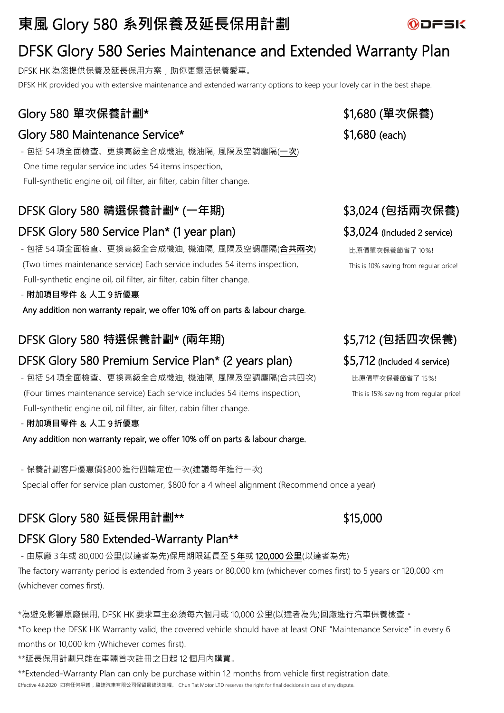# **東風** Glory 580 **系列保養及延長保用計劃**

# DFSK Glory 580 Series Maintenance and Extended Warranty Plan

DFSK HK 為您提供保養及延長保用方案,助你更靈活保養愛車。 DFSK HK provided you with extensive maintenance and extended warranty options to keep your lovely car in the best shape.

## Glory 580 單次保養計劃\*  $$1,680$  (單次保養)

### Glory 580 Maintenance Service\*  $$1,680$  (each)

-包括 54項全面檢查、更換高級全合成機油, 機油隔, 風隔及空調塵隔(**一次**) One time regular service includes 54 items inspection, Full-synthetic engine oil, oil filter, air filter, cabin filter change.

## DFSK Glory 580 **精選保養計劃**\* (**一年期**) \$3,024 (**包括兩次保養**)

## DFSK Glory 580 Service Plan\* (1 year plan) \$3,024 (Included 2 service)

-包括 54項全面檢查、更換高級全合成機油, 機油隔, 風隔及空調塵隔(**合共兩次**) (Two times maintenance service) Each service includes 54 items inspection, Full-synthetic engine oil, oil filter, air filter, cabin filter change.

-**附加項目零件** & **人工** 9 **折優惠**

Any addition non warranty repair, we offer 10% off on parts & labour charge.

### DFSK Glory 580 **特選保養計劃**\* (**兩年期**) \$5,712 (**包括四次保養**)

## DFSK Glory 580 Premium Service Plan\* (2 years plan) \$5,712 (Included 4 service)

- 包括 54 項全面檢查、更換高級全合成機油, 機油隔, 風隔及空調塵隔(合共四次) (Four times maintenance service) Each service includes 54 items inspection, Full-synthetic engine oil, oil filter, air filter, cabin filter change.

-**附加項目零件** & **人工** 9 **折優惠**

Any addition non warranty repair, we offer 10% off on parts & labour charge.

-保養計劃客戶優惠價\$800 進行四輪定位一次(建議每年進行一次) Special offer for service plan customer, \$800 for a 4 wheel alignment (Recommend once a year)

## **DFSK Glory 580 延長保用計劃\*\***  $$15,000$

## DFSK Glory 580 Extended-Warranty Plan\*\*

-由原廠 3 年或 80,000 公里(以達者為先)保用期限延長至 5 **年**或 120,000 **公里**(以達者為先) The factory warranty period is extended from 3 years or 80,000 km (whichever comes first) to 5 years or 120,000 km (whichever comes first).

\*為避免影響原廠保用, DFSK HK 要求車主必須每六個月或 10,000 公里(以達者為先)回廠進行汽車保養檢查。

\*To keep the DFSK HK Warranty valid, the covered vehicle should have at least ONE "Maintenance Service" in every 6 months or 10,000 km (Whichever comes first).

\*\*延長保用計劃只能在車輛首次註冊之日起 12 個月內購買。

\*\*Extended-Warranty Plan can only be purchase within 12 months from vehicle first registration date. Effective 4.8.2020 如有任何爭議,駿達汽車有限公司保留最終決定權。 Chun Tat Motor LTD reserves the right for final decisions in case of any dispute.

比原價單次保養節省了 10%! This is 10% saving from regular price!

比原價單次保養節省了 15%! This is 15% saving from regular price!